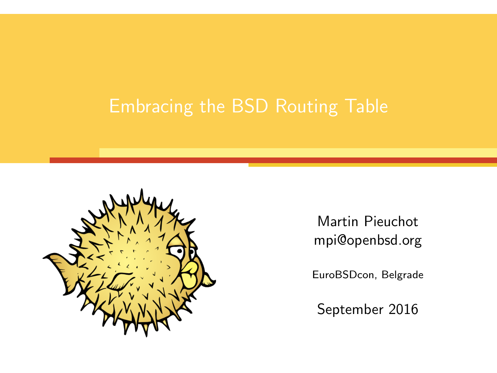

Martin Pieuchot mpi@openbsd.org

EuroBSDcon, Belgrade

September 2016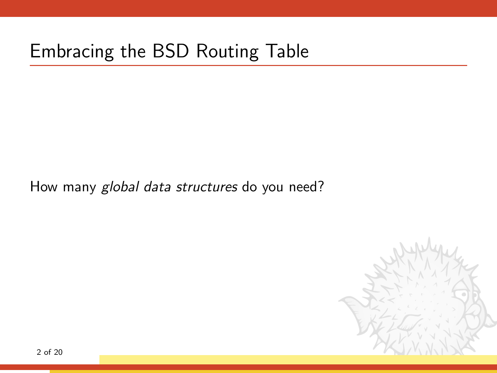#### Embracing the BSD Routing Table

How many global data structures do you need?

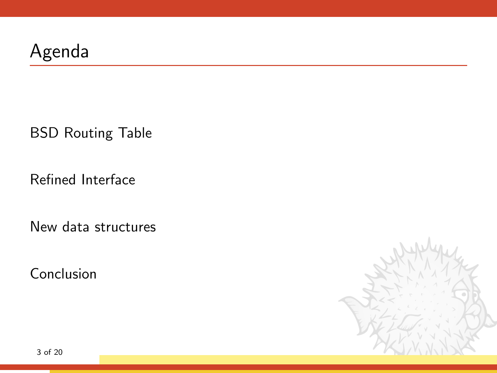### Agenda

[BSD Routing Table](#page-3-0)

[Refined Interface](#page-11-0)

[New data structures](#page-31-0)

[Conclusion](#page-42-0)

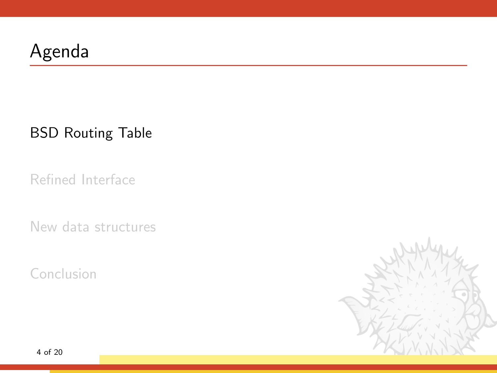### <span id="page-3-0"></span>Agenda

[BSD Routing Table](#page-3-0)

[Refined Interface](#page-11-0)

[New data structures](#page-31-0)

[Conclusion](#page-42-0)

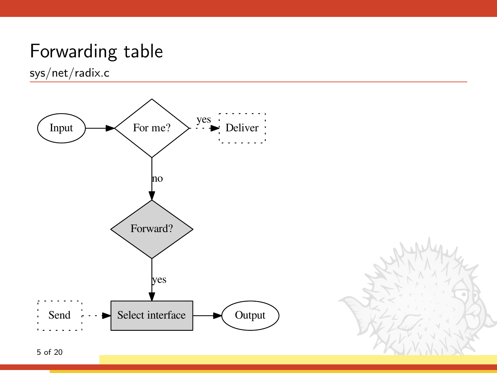### Forwarding table

sys/net/radix.c

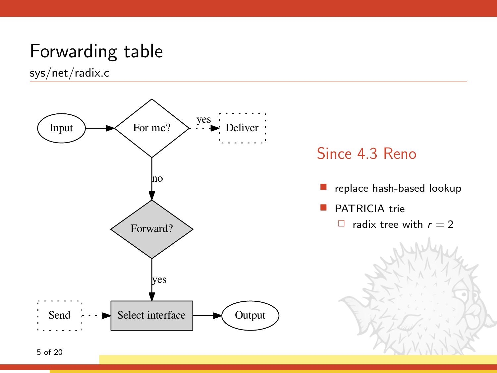### Forwarding table

sys/net/radix.c





- replace hash-based lookup
- PATRICIA trie
	- $\Box$  radix tree with  $r = 2$

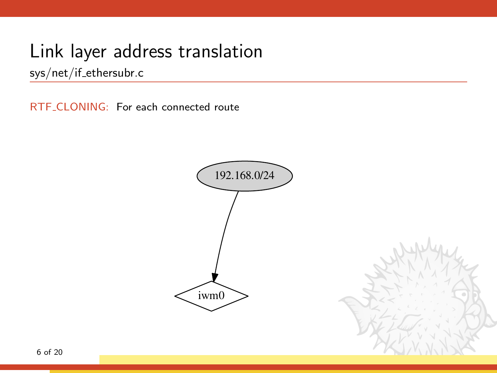sys/net/if ethersubr.c

RTF\_CLONING: For each connected route

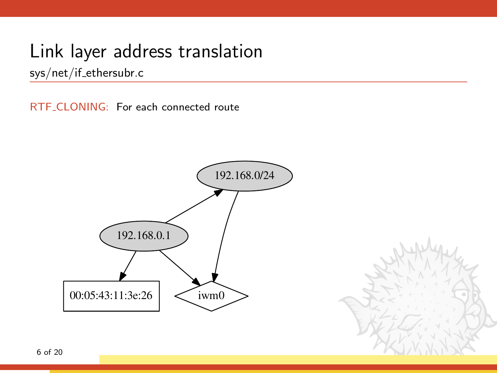sys/net/if ethersubr.c

RTF\_CLONING: For each connected route

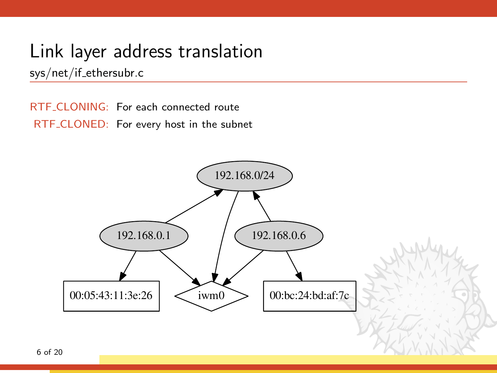sys/net/if ethersubr.c

RTF CLONING: For each connected route RTF CLONED: For every host in the subnet

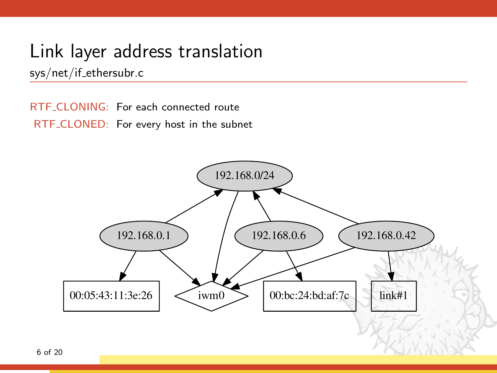sys/net/if ethersubr.c

RTF CLONING: For each connected route RTF CLONED: For every host in the subnet

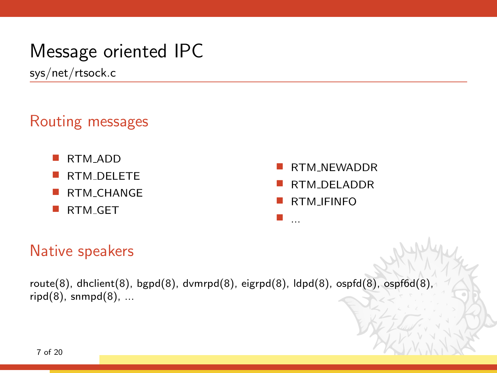### Message oriented IPC

sys/net/rtsock.c

#### Routing messages

- RTM ADD
- RTM DELETE
- RTM CHANGE
- RTM<sub>-GET</sub>
- RTM NEWADDR
- RTM DELADDR
- RTM IFINFO

...

Native speakers

route(8), dhclient(8), bgpd(8), dvmrpd(8), eigrpd(8), ldpd(8), ospfd(8), ospf6d(8),  $right(8)$ , snmpd $(8)$ , ...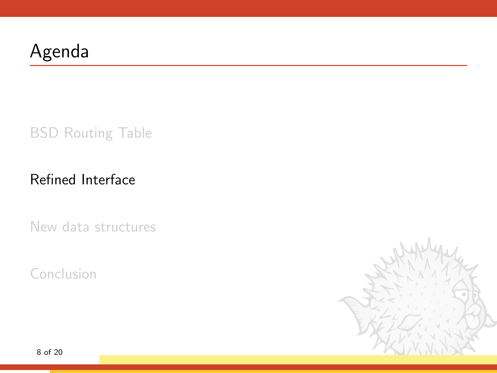## <span id="page-11-0"></span>Agenda

[BSD Routing Table](#page-3-0)

#### [Refined Interface](#page-11-0)

[New data structures](#page-31-0)

[Conclusion](#page-42-0)

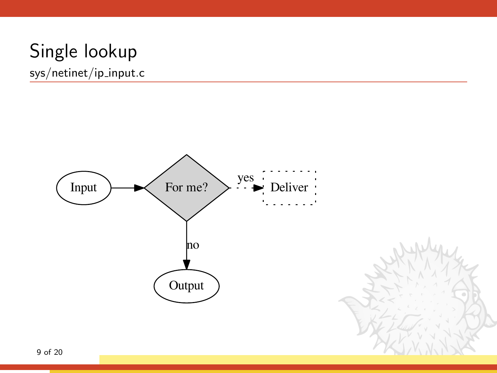sys/netinet/ip input.c

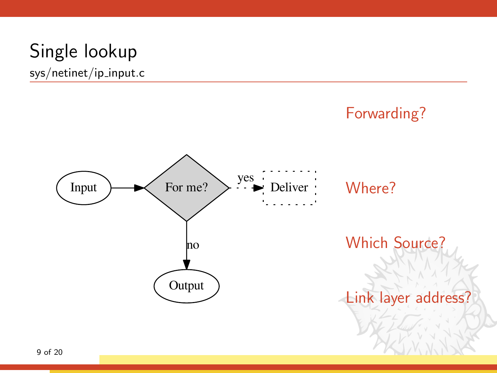sys/netinet/ip input.c

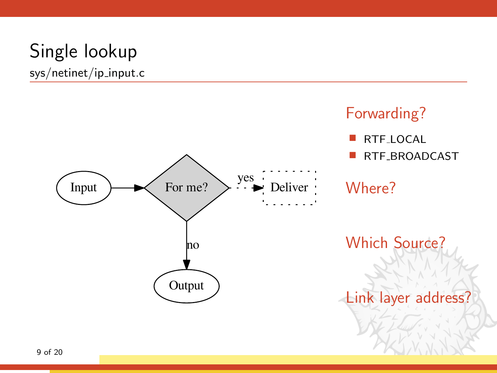sys/netinet/ip input.c



Forwarding?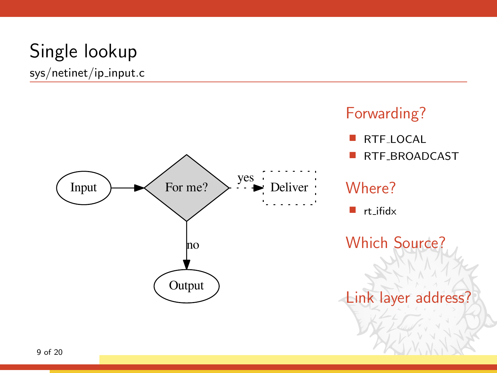sys/netinet/ip input.c



#### Forwarding?

- RTF LOCAL
- RTF BROADCAST

#### Where?

 $r_{\text{right}}$ 

Which Source?

Link layer address?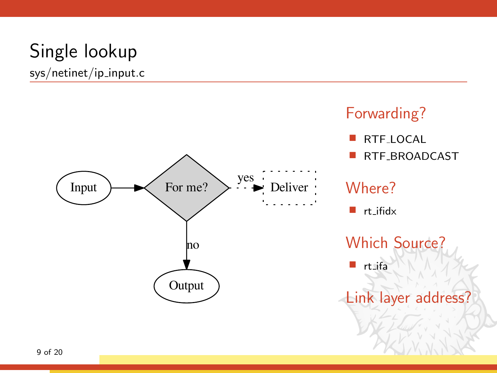sys/netinet/ip input.c



#### Forwarding?

- RTF LOCAL
- RTF BROADCAST

#### Where?

 $r_{\text{right}}$ 

Which Source?

rt ifa

Link layer address?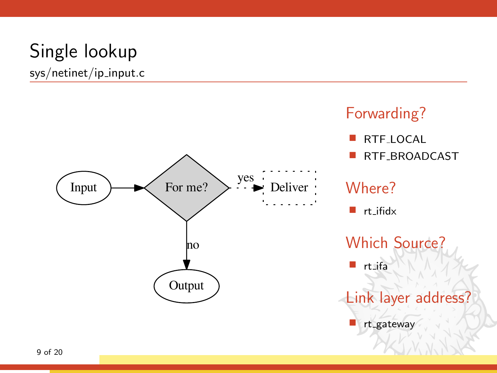sys/netinet/ip input.c



#### Forwarding?

- RTF LOCAL
- RTF\_BROADCAST

#### Where?

 $r_{\text{right}}$ 

Which Source?

rt ifa

Link layer address?

rt gateway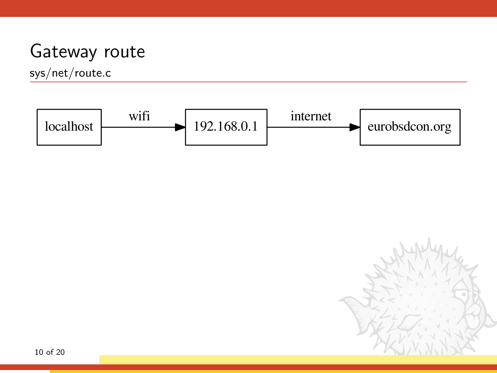### Gateway route

sys/net/route.c



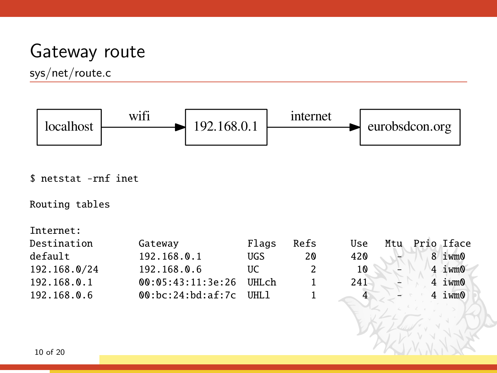#### Gateway route

sys/net/route.c



\$ netstat -rnf inet

Routing tables

Internet:

| Destination  | Gateway           | Flags   | Refs | Use | Mtu | Prio Iface        |
|--------------|-------------------|---------|------|-----|-----|-------------------|
| default      | 192.168.0.1       | UGS     | 20   | 420 |     | 8 iwm0            |
| 192.168.0/24 | 192.168.0.6       | UC      | 2    | 10  | Ξ.  | 4 iwm0            |
| 192.168.0.1  | 00:05:43:11:3e:26 | UHLch   |      | 241 |     | 4 <sub>ivm0</sub> |
| 192.168.0.6  | @0:bc:24:bd:af:7c | TIHT. 1 |      |     |     | 4 iwm0            |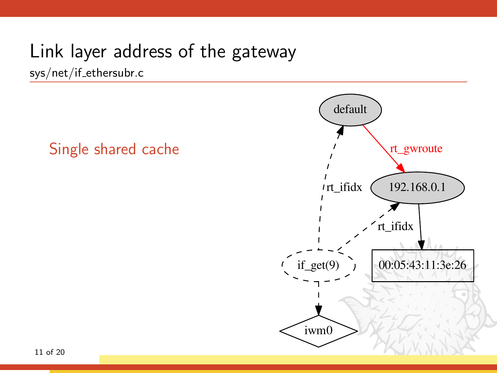sys/net/if ethersubr.c

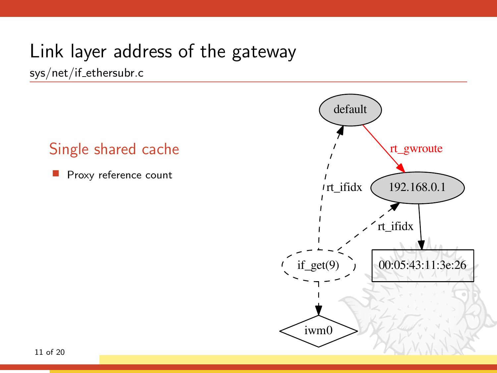sys/net/if ethersubr.c

#### Single shared cache

Proxy reference count

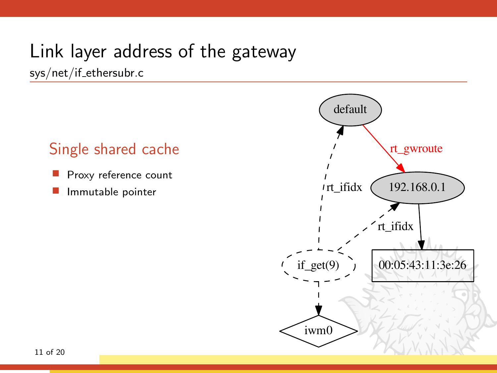sys/net/if ethersubr.c

- Proxy reference count
- Immutable pointer

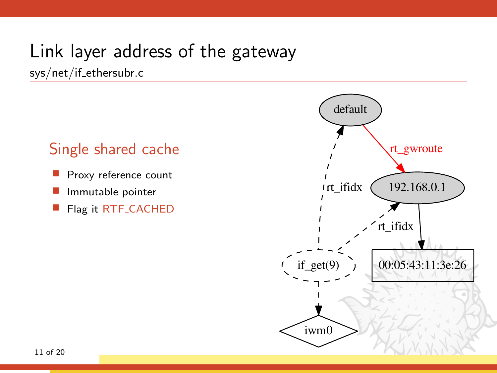sys/net/if ethersubr.c

- Proxy reference count
- Immutable pointer
- Flag it RTF CACHED

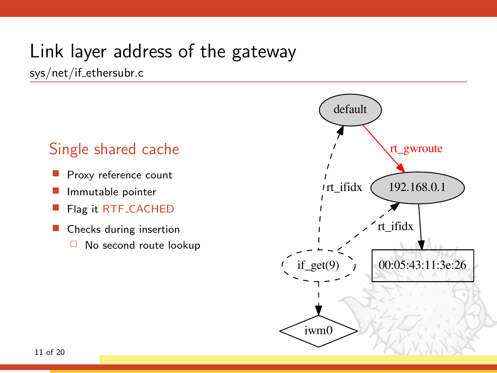sys/net/if ethersubr.c

- Proxy reference count
- Immutable pointer
- Flag it RTF CACHED
- Checks during insertion
	- □ No second route lookup

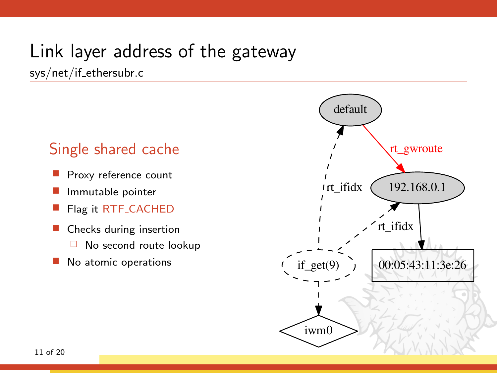sys/net/if ethersubr.c

- Proxy reference count
- Immutable pointer
- Flag it RTF CACHED
- Checks during insertion No second route lookup
- No atomic operations

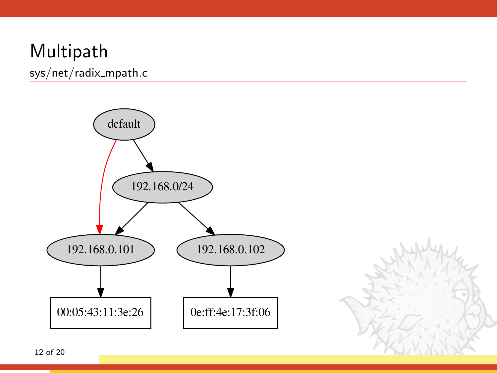sys/net/radix\_mpath.c



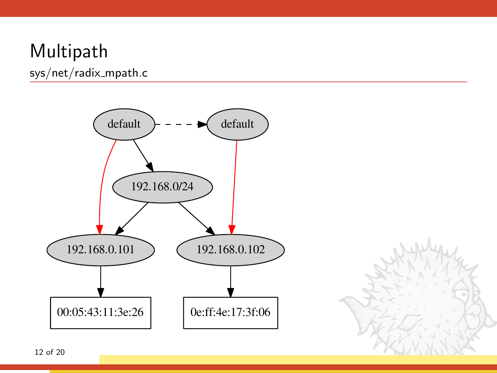sys/net/radix\_mpath.c

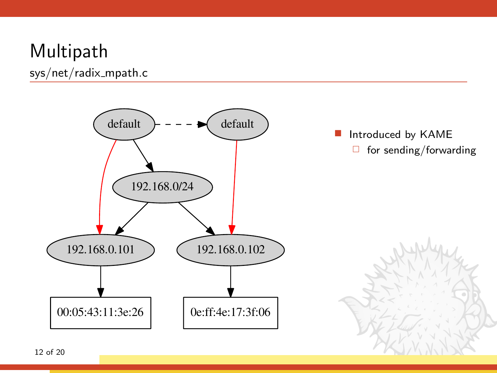sys/net/radix\_mpath.c

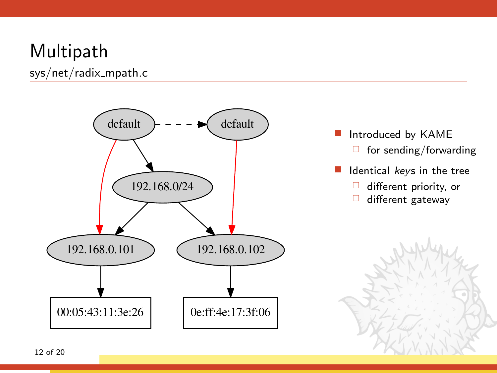sys/net/radix\_mpath.c



- **Introduced by KAME** 
	- $\Box$  for sending/forwarding
- I Identical keys in the tree
	- $\Box$  different priority, or
	- $\Box$  different gateway

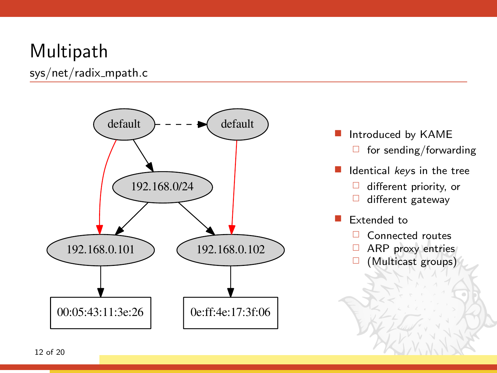sys/net/radix\_mpath.c



- **Introduced by KAME** 
	- $\Box$  for sending/forwarding
- Identical keys in the tree
	- $\Box$  different priority, or
	- $\Box$  different gateway
- Extended to
	- □ Connected routes
	- ARP proxy entries
	- □ (Multicast groups)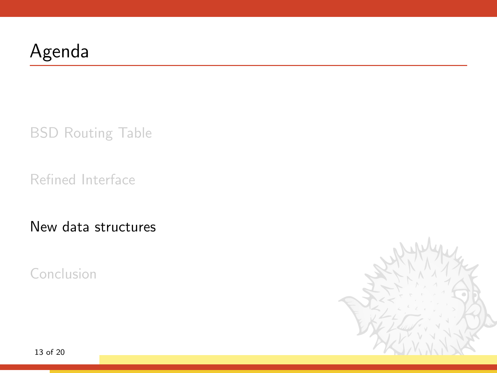## <span id="page-31-0"></span>Agenda

[BSD Routing Table](#page-3-0)

[Refined Interface](#page-11-0)

[New data structures](#page-31-0)

[Conclusion](#page-42-0)

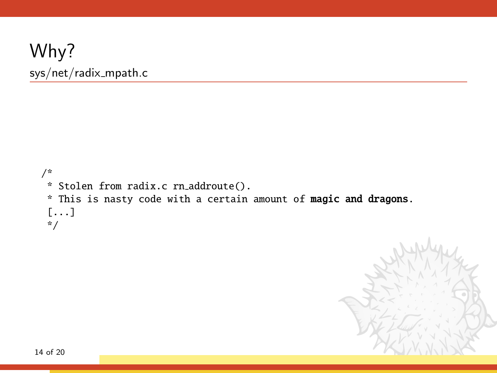#### Why? sys/net/radix\_mpath.c

```
/*
* Stolen from radix.c rn addroute().
* This is nasty code with a certain amount of magic and dragons.
[...]
*/
```
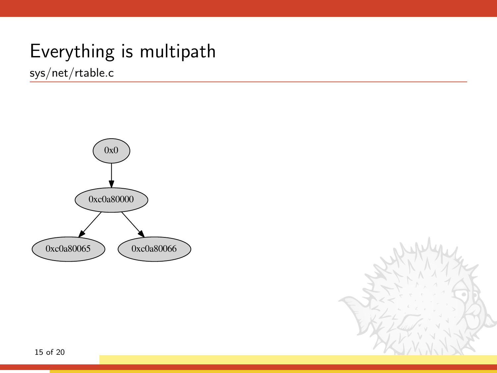sys/net/rtable.c



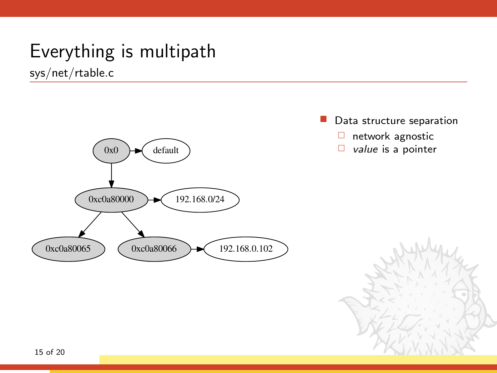

- Data structure separation
	- $\Box$  network agnostic
	- $\Box$  value is a pointer

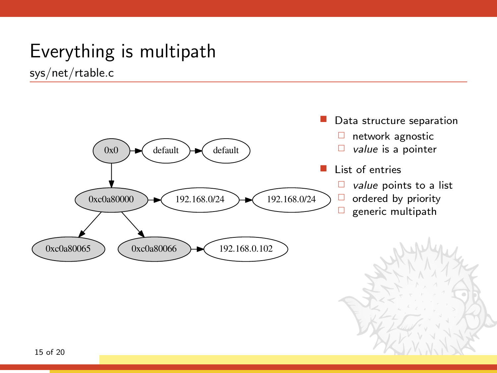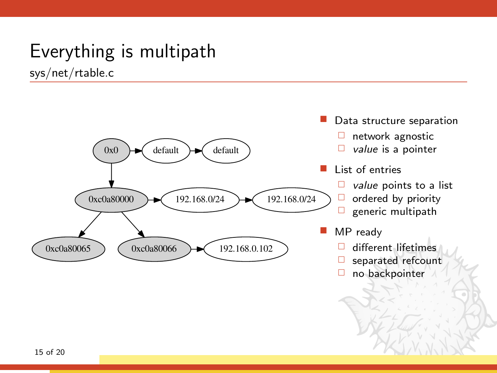

- Data structure separation
	- $\Box$  network agnostic
	- $\Box$  value is a pointer
- List of entries
	- $\Box$  value points to a list
	- $\Box$  ordered by priority
	- $\Box$  generic multipath
- MP ready
	- different lifetimes
	- $\Box$  separated refcount
	- $\Box$  no backpointer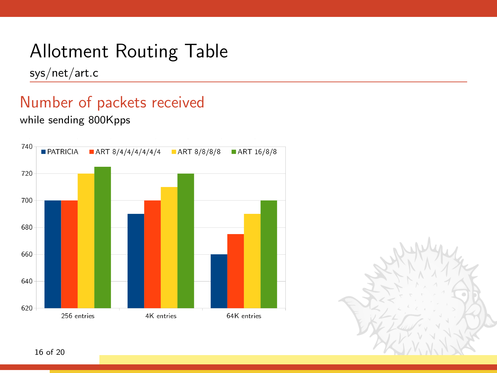sys/net/art.c

### Number of packets received

while sending 800Kpps



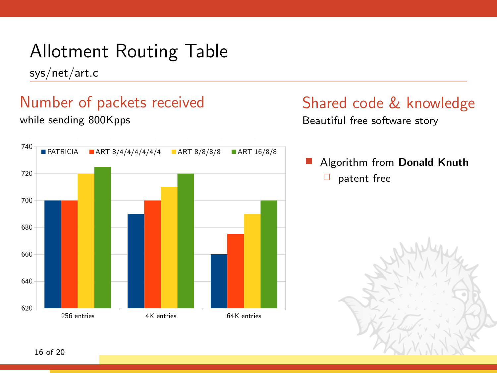sys/net/art.c

#### Number of packets received while sending 800Kpps



#### Shared code & knowledge

Beautiful free software story

 Algorithm from Donald Knuth  $\Box$  patent free

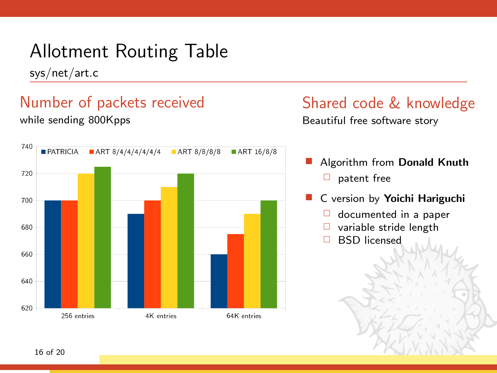sys/net/art.c

#### Number of packets received while sending 800Kpps



# Shared code & knowledge

Beautiful free software story

- Algorithm from Donald Knuth  $\Box$  patent free
- C version by Yoichi Hariguchi
	- $\Box$  documented in a paper
	- □ variable stride length
	- BSD licensed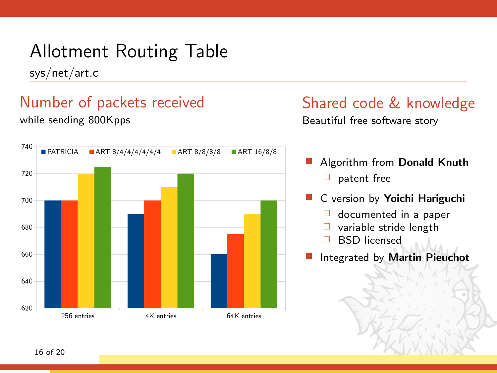sys/net/art.c

#### Number of packets received while sending 800Kpps



#### Shared code & knowledge Beautiful free software story

 Algorithm from Donald Knuth  $\Box$  patent free

- C version by Yoichi Hariguchi
	- $\Box$  documented in a paper
	- $\Box$  variable stride length
	- BSD licensed
- Integrated by Martin Pieuchot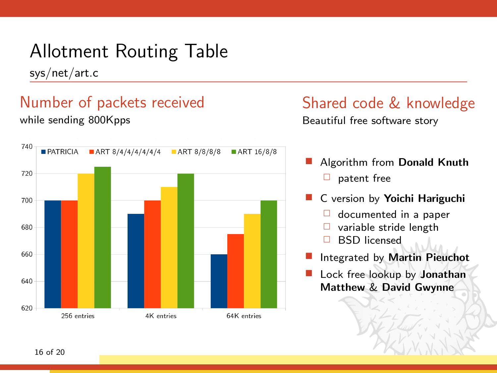sys/net/art.c

#### Number of packets received while sending 800Kpps



# Shared code & knowledge

Beautiful free software story

- Algorithm from Donald Knuth  $\Box$  patent free
- C version by Yoichi Hariguchi
	- $\Box$  documented in a paper
	- variable stride length
	- BSD licensed
- Integrated by Martin Pieuchot
- Lock free lookup by Jonathan Matthew & David Gwynne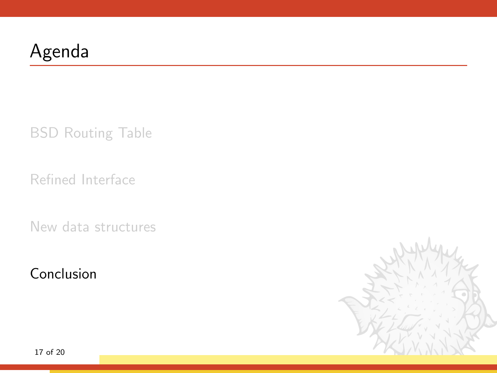## <span id="page-42-0"></span>Agenda

[BSD Routing Table](#page-3-0)

[Refined Interface](#page-11-0)

[New data structures](#page-31-0)

[Conclusion](#page-42-0)

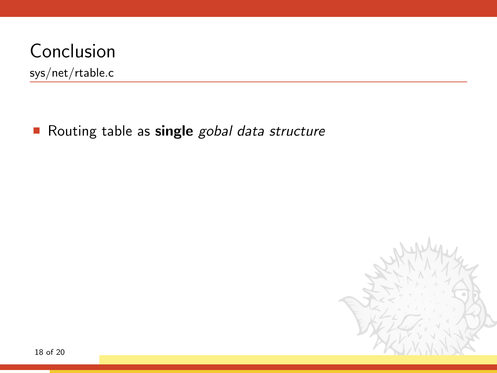sys/net/rtable.c

Routing table as single gobal data structure

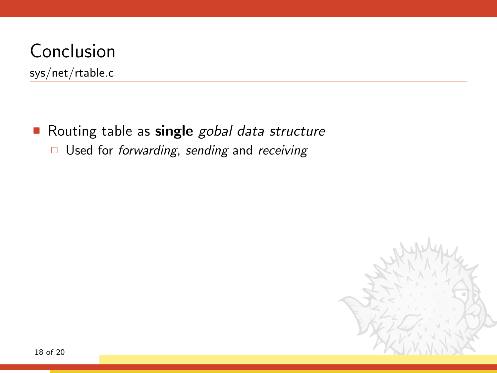sys/net/rtable.c

Routing table as single gobal data structure

 $\Box$  Used for forwarding, sending and receiving

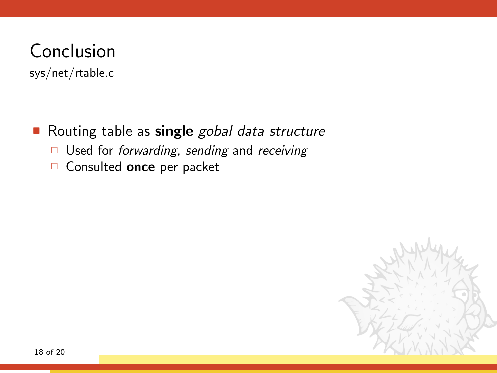sys/net/rtable.c

Routing table as single gobal data structure

- $\Box$  Used for forwarding, sending and receiving
- Consulted once per packet

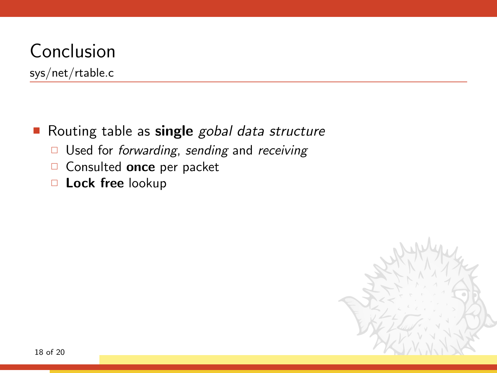sys/net/rtable.c

#### Routing table as single gobal data structure

- $\Box$  Used for *forwarding*, sending and receiving
- Consulted once per packet
- □ Lock free lookup

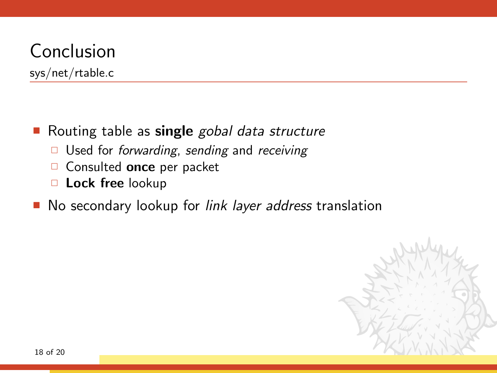- Routing table as single gobal data structure
	- $\Box$  Used for *forwarding*, sending and *receiving*
	- Consulted once per packet
	- D Lock free lookup
- No secondary lookup for *link layer address* translation

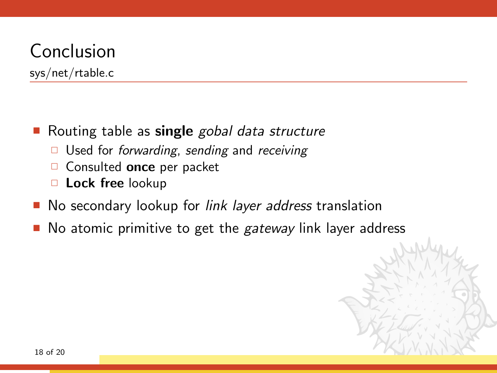- Routing table as single gobal data structure
	- $\Box$  Used for *forwarding*, sending and *receiving*
	- $\Box$  Consulted once per packet
	- D Lock free lookup
- No secondary lookup for *link layer address* translation
- No atomic primitive to get the *gateway* link layer address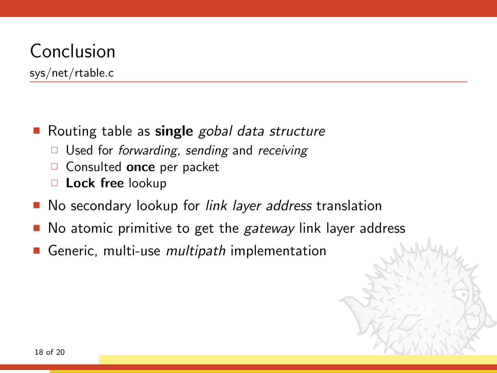- Routing table as single gobal data structure
	- $\Box$  Used for *forwarding*, sending and *receiving*
	- $\Box$  Consulted once per packet
	- D Lock free lookup
- No secondary lookup for *link layer address* translation
- No atomic primitive to get the *gateway* link layer address
- Generic, multi-use *multipath* implementation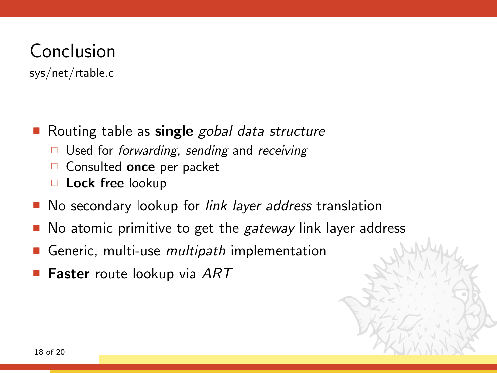- Routing table as single gobal data structure
	- $\Box$  Used for *forwarding*, sending and *receiving*
	- $\Box$  Consulted once per packet
	- D Lock free lookup
- No secondary lookup for *link layer address* translation
- No atomic primitive to get the *gateway* link layer address
- Generic, multi-use *multipath* implementation
- **Faster** route lookup via ART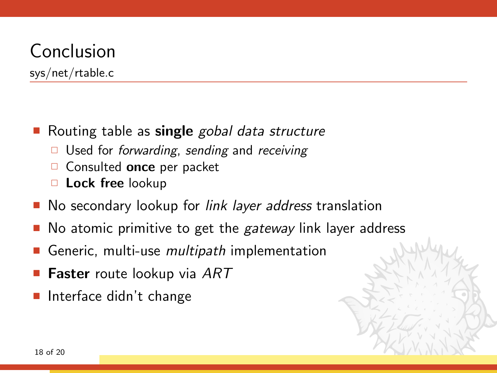- Routing table as single gobal data structure
	- $\Box$  Used for *forwarding*, sending and *receiving*
	- $\Box$  Consulted once per packet
	- D Lock free lookup
- No secondary lookup for *link layer address* translation
- No atomic primitive to get the *gateway* link layer address
- Generic, multi-use *multipath* implementation
- **Faster** route lookup via ART
- Interface didn't change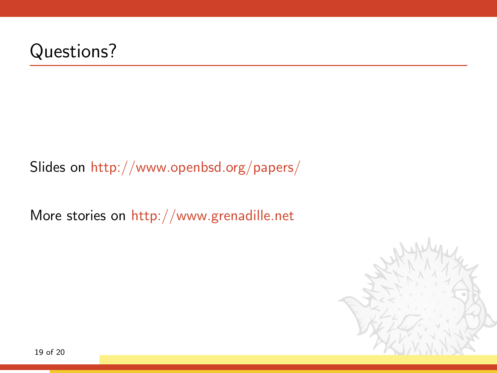#### Questions?

#### Slides on <http://www.openbsd.org/papers/>

More stories on <http://www.grenadille.net>